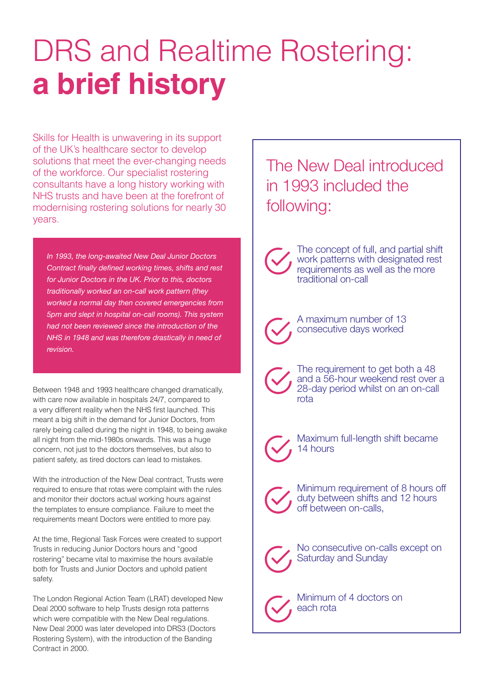## DRS and Realtime Rostering: **a brief history**

Skills for Health is unwavering in its support of the UK's healthcare sector to develop solutions that meet the ever-changing needs of the workforce. Our specialist rostering consultants have a long history working with NHS trusts and have been at the forefront of modernising rostering solutions for nearly 30 years.

*In 1993, the long-awaited New Deal Junior Doctors Contract finally defined working times, shifts and rest for Junior Doctors in the UK. Prior to this, doctors traditionally worked an on-call work pattern (they worked a normal day then covered emergencies from 5pm and slept in hospital on-call rooms). This system had not been reviewed since the introduction of the NHS in 1948 and was therefore drastically in need of revision.*

Between 1948 and 1993 healthcare changed dramatically, with care now available in hospitals 24/7, compared to a very different reality when the NHS first launched. This meant a big shift in the demand for Junior Doctors, from rarely being called during the night in 1948, to being awake all night from the mid-1980s onwards. This was a huge concern, not just to the doctors themselves, but also to patient safety, as tired doctors can lead to mistakes.

With the introduction of the New Deal contract, Trusts were required to ensure that rotas were complaint with the rules and monitor their doctors actual working hours against the templates to ensure compliance. Failure to meet the requirements meant Doctors were entitled to more pay.

At the time, Regional Task Forces were created to support Trusts in reducing Junior Doctors hours and "good rostering" became vital to maximise the hours available both for Trusts and Junior Doctors and uphold patient safety.

The London Regional Action Team (LRAT) developed New Deal 2000 software to help Trusts design rota patterns which were compatible with the New Deal regulations. New Deal 2000 was later developed into DRS3 (Doctors Rostering System), with the introduction of the Banding Contract in 2000.

## The New Deal introduced in 1993 included the following:

The concept of full, and partial shift work patterns with designated rest requirements as well as the more traditional on-call



A maximum number of 13 consecutive days worked

The requirement to get both a 48 and a 56-hour weekend rest over a 28-day period whilst on an on-call rota



Maximum full-length shift became 14 hours

Minimum requirement of 8 hours off duty between shifts and 12 hours off between on-calls,

No consecutive on-calls except on Saturday and Sunday

each rota

Minimum of 4 doctors on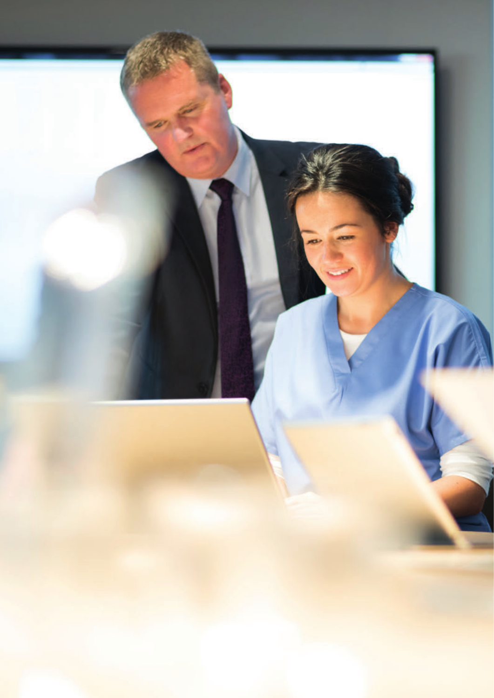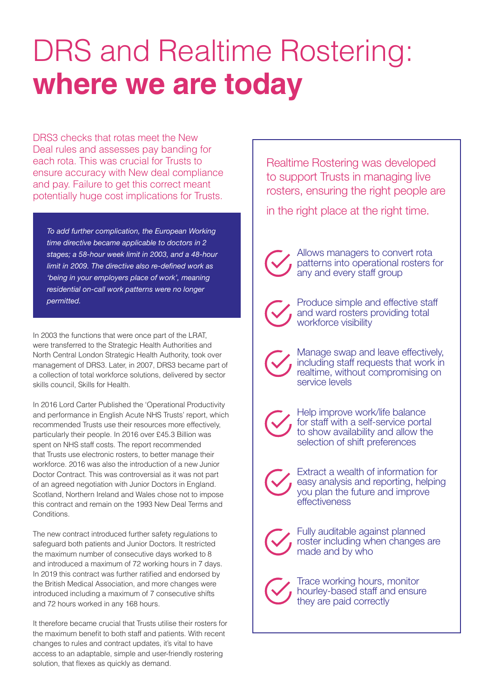## DRS and Realtime Rostering: **where we are today**

DRS3 checks that rotas meet the New Deal rules and assesses pay banding for each rota. This was crucial for Trusts to ensure accuracy with New deal compliance and pay. Failure to get this correct meant potentially huge cost implications for Trusts.

*To add further complication, the European Working time directive became applicable to doctors in 2 stages; a 58-hour week limit in 2003, and a 48-hour limit in 2009. The directive also re-defined work as 'being in your employers place of work', meaning residential on-call work patterns were no longer permitted.*

In 2003 the functions that were once part of the LRAT, were transferred to the Strategic Health Authorities and North Central London Strategic Health Authority, took over management of DRS3. Later, in 2007, DRS3 became part of a collection of total workforce solutions, delivered by sector skills council, Skills for Health.

In 2016 Lord Carter Published the 'Operational Productivity and performance in English Acute NHS Trusts' report, which recommended Trusts use their resources more effectively, particularly their people. In 2016 over £45.3 Billion was spent on NHS staff costs. The report recommended that Trusts use electronic rosters, to better manage their workforce. 2016 was also the introduction of a new Junior Doctor Contract. This was controversial as it was not part of an agreed negotiation with Junior Doctors in England. Scotland, Northern Ireland and Wales chose not to impose this contract and remain on the 1993 New Deal Terms and Conditions.

The new contract introduced further safety regulations to safeguard both patients and Junior Doctors. It restricted the maximum number of consecutive days worked to 8 and introduced a maximum of 72 working hours in 7 days. In 2019 this contract was further ratified and endorsed by the British Medical Association, and more changes were introduced including a maximum of 7 consecutive shifts and 72 hours worked in any 168 hours.

It therefore became crucial that Trusts utilise their rosters for the maximum benefit to both staff and patients. With recent changes to rules and contract updates, it's vital to have access to an adaptable, simple and user-friendly rostering solution, that flexes as quickly as demand.

Realtime Rostering was developed to support Trusts in managing live rosters, ensuring the right people are

in the right place at the right time.

Allows managers to convert rota patterns into operational rosters for any and every staff group

Produce simple and effective staff and ward rosters providing total workforce visibility

Manage swap and leave effectively, including staff requests that work in realtime, without compromising on service levels

Help improve work/life balance for staff with a self-service portal to show availability and allow the selection of shift preferences

Extract a wealth of information for easy analysis and reporting, helping you plan the future and improve effectiveness

Fully auditable against planned roster including when changes are made and by who

Trace working hours, monitor hourley-based staff and ensure they are paid correctly